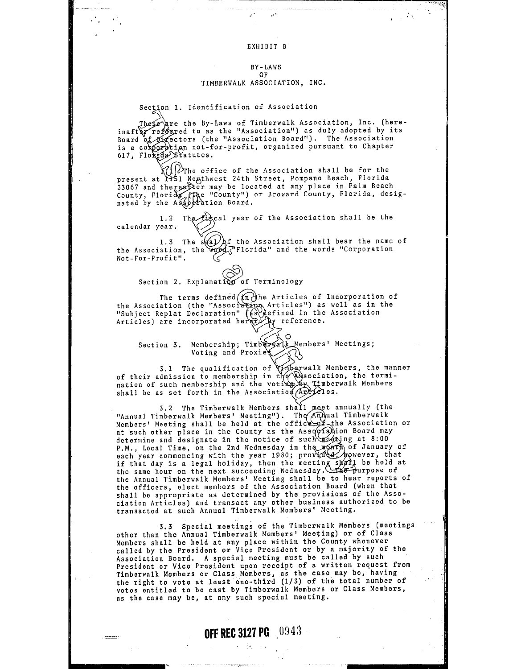#### EXHIBIT B

 $\mathbf{r}$ 

بموتدت

 $\sim$   $\chi$ 

#### BY-LAWS OF TIMBERWALK ASSOCIATION, INC.

Section 1. Identification of Association

is a corporation not-for-profit, organized pursuant to Chapter<br>617, Floxida Statutes. The  $\epsilon$  are the By-Laws of Timberwalk Association, Inc. (herered to as the "Association") as duly adopted by its ectors (the "Association Board"). The Association 't'atutes.

 $\chi$  )  $\gg$  the office of the Association shall be for the present at 1151 Nogthwest 24th Street, Pompano Beach, Florida<br>33067 and thereafter may be located at any place in Palm Beach County, Florida, (Fige "County") or Broward County, Florida, designated by the Association Board.

1.2 The is cal year of the Association shall be the calendar year.

1.3 The  $s$ (a) of the Association shall bear the name of the Association, the word rine association shall beat the hame<br>the Association, the word ring ind the words "Corporation Not-For-Profit".

### Section 2. Explanation of Terminology

The terms defined  $(\widehat{m})$ he Articles of Incorporation of the Association (the "Associalion Articles") as well as in the "Subject Replat Declaration"  $(A)$  efined in the Association Articles) are incorporated hererally reference.

Section 3. Membership;  $T$ imbergalk Members' Meetings;<br>Voting and Proxies

3.1 The qualification of Timberwalk Members, the manner<br>of their admission to membership in the Wasociation, the termination of such membership and the voting by Timberwalk Members shall be as set forth in the Association  $\widehat{APC2}$ les.

3.2 The Timberwalk Members shall meet annually (the "Annual Timberwalk Members' Meeting"). The  $\widehat{A}$ n pual Timberwalk Members' Meeting shall be held at the office of the Association or Members' Meeting shall be held at the office of the Association or determine and designate in the notice of such meeting at 8:00 P.M., Local Time, on the 2nd Wednesday in the month of January of each year commencing with the year 1980; provid de however, that it that day is a legal holiday, then the meeting shall be held at the same hour on the next succeeding Wednesday. The purpose of the Annual Timberwalk Members' Meeting shall be to hear reports of the officers, elect members of the Association Board (when that shall be appropriate as determined by the provisions of the Association Articles) and transact any other business authorized to be transacted at such Annual Timberwalk Members' Meeting.

3.3 Special meetings of the Timberwalk Members (meetings other than the Annual Timberwalk Members' Meeting) or of Class Members shall be held at any place within the County whenever called by the President or Vice President or by a majority of the Association Board. A special meeting must be called by such President or Vice President upon receipt of a written request from Timberwalk Members or Class.Members, as the case may be, having the right to vote at least one-third (1/3) of the total number of votes entitled to be cast by Timborwalk Members or Class Members, as the case may be, at any such special mooting.

**Homeon**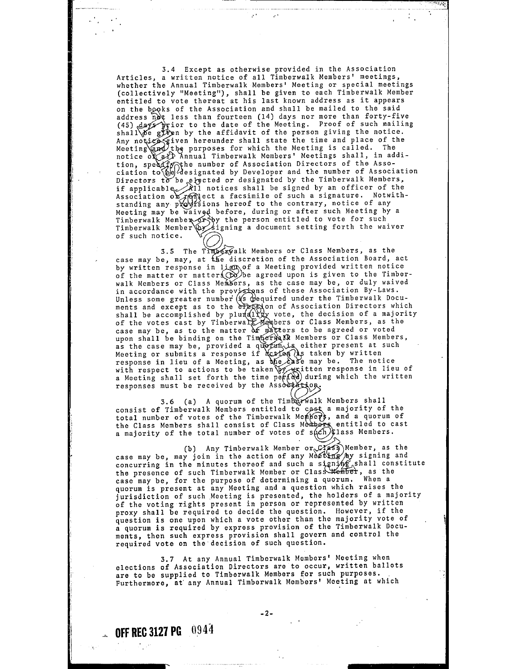3.4 Except as otherwise provided in the Association Articles, a written notice of all Timberwalk Members' meetings, whether the Annual Timberwalk Members' Meeting or special meetings (collectively "Meeting"), shall be given to each Timberwalk Member entitled to vote thereat at his last known address as it appears on the books of the Association and shall be mailed to the said address not less than fourteen (14) days nor more than forty-five (45) days prior to the date of the Meeting. Proof of such mailing shall  $\delta e$  given by the affidavit of the person giving the notice. ties given hereunder shall state the time and place of the the purposes for which the Meeting is called. The notice of all Annual Timberwalk Members' Meetings shall, in addinotice of  $A$  Annual Timberwalk Members' Meetings shall, in addition, speed for the number of Association Directors of the Association ciation to  $\Theta$  designated by Developer and the number of Association Directors to be e if applicable.  $\lambda$ 11 notices shall be signed by an officer of the Association of reflect a facsimile of such a signature. Notwith-<br>standing any provisions hereof to the contrary, notice of any standing any provisions hereor to the contrary, hotice or any<br>Meeting may be waived before, during or after such Meeting by a<br>Timberwalk Member gripy the person entitled to vote for such Timberwalk Member 1938 the person entitled to vote for such<br>Timberwalk Member by signing a document setting forth the waiver<br>of such notice.

3.5 The Timberwalk Members or Class Members, as the case may be, may, at the discretion of the Association Board, act by written response in lign of a Meeting provided written notice by written response in lign of a Meeting provided written notice<br>of the matter or matter  $\bigotimes$  be agreed upon is given to the Timberwalk Members or Class Members, as the case may be, or duly waived in accordance with the provisions of these Association By-Laws. In accordance wren che from the contraction of the Timberwalk Documents and except as to the election of Association Directors which shall be accomplished by plur( $A\chi$  vote, the decision of a majority of the votes cast by Timberwall Members or Class Members, as the case may be, as to the matter  $\alpha$  matters to be agreed or voted upon shall be binding on the Timperwall Members or Class Members, as the case may be, provided a quorum, is either present at such Meeting or submits a response if action (is taken by written response in lieu of a Meeting, as the existe may be. The notice with respect to actions to be taken  $\sqrt{w}$  written response in lieu of a Meeting shall set forth the time period) during which the written a Meeting shall set forth the time responses must be received by the Association

3.6 (a) A quorum of the Timberwalk Members shall<br>consist of Timberwalk Members entitled to cast a majority of the total number of votes of the Timberwalk Members, and a quorum of<br>the Class Members shall consist of Class Members entitled to cast<br>a majority of the total number of votes of such Class Members.

(b) Any Timberwalk Member  $\alpha \in \mathcal{L}$  Member, as the (b) Any Timberwalk Member or *Laws* wember, as the<br>case may be, may join in the action of any Meeting by signing and case may be, may join in the action of any mesture by signing and<br>concurring in the minutes thereof and such a signing shall constitute the presence of such Timberwalk Member or Class Member, as the case may be, for the purpose of determining a quorum. When a quorum is present at any Meeting and a question which raises the jurisdiction of such Meeting is presented, the holders of a majority of the voting rights present in person or represented by written proxy shall be required to decide the question. However, if the question is one upon which a vote other than the majority vote of a quorum is required by express provision of the Timbcrwalk Documents, then such express provision shall govern and control the required vote on the·decision of such question.

3,7 At any Annual Timberwalk Members' Meeting when elections of Association Directors are to occur, written ballots are to be supplied to Timberwalk Members for such purposes. Furthermore, at any Annual Timberwalk Members' Meeting at which

 $-2-$ 

**OFF REC 3127 PG 0944**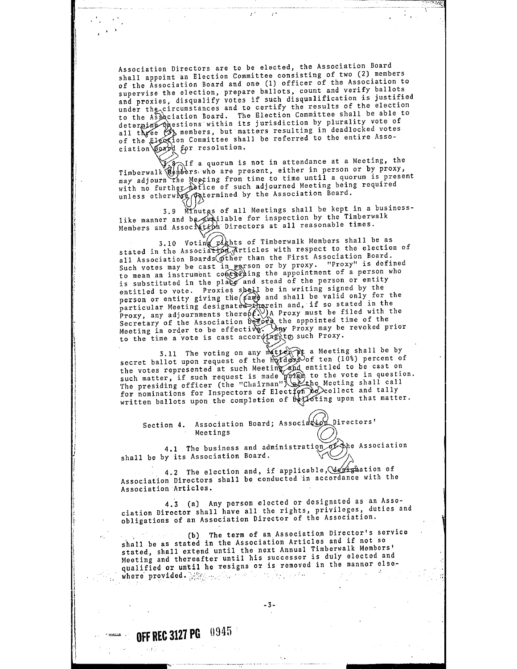Association Directors are to be elected, the Association Board shall appoint an Election Committee consisting of two (2) members of the Association Board and one (1) officer of the Association to supervise the election, prepare ballots, count and verify ballots and proxies, disqualify votes if such disqualification is justified and proxies, disquality roces are clear that results of the election and the Association Board. The Election Committee shall be able to determine operations within its jurisdiction by plurality vote of aeterming questions within its jurisdictions, in deadlocked votes all these (b) mombols, but must be referred to the entire Assod for resolution.

 $\sim 10^{11}$  and  $\sim 10^{11}$  and  $\sim 10^{11}$ 

fa quorum is not in attendance at a Meeting, the Timberwalk Members who are present, either in person or by proxy, may adjourn the Meeting from time to time until a quorum is present may adjourn the Meeting from conservation Meeting being required unless otherwise (Aptermined by the Association Board.

3.9 Minutgs of all Meetings shall be kept in a businesslike manner and be available for inspection by the Timberwalk Inke manner and becomplicated the manner reasonable times.

3.10 Voting *the Stated* in the Association of Timberwalk Members shall be as stated in the Association *station* all Association Boards other than the First Association Board.<br>Such votes may be cast in parson or by proxy. "Proxy" is defined to mean an instrument context ing the appointment of a person who is substituted in the place and stead of the person or entity to mean an instrument over and stead of the person or entity<br>entitled to vote. Proxies shall be in writing signed by the<br>person or entity giving the (same and shall be valid only for the<br>particular Meeting designated the p

3.11 The voting on any  $\frac{1}{2}$  a Meeting shall be by secret ballot upon request of the  $\frac{10}{2}$  of ten (10%) percent of the votes represented at such Meeting and entitled to be cast on<br>such matter, if such request is made point to the vote in question. The presiding officer (the "Chairman" \efthe Meeting shall call for nominations for Inspectors of Election do collect and tally written ballots upon the completion of bettoting upon that matter.

Section 4. Association Board; Association Directors'<br>Meetings (O)

4.1 The business and administration of the Association<br>shall be by its Association Board.

4.2 The election and, if applicable, designation of Association Directors shall be conducted in accordance with the Association Articles.

4.3 (a) Any person elected or designated as an Association Director shall have all the rights, privileges, duties and obligations of an Association Director of the Association.

(b) The term of an Association Director's service<br>shall be as stated in the Association Articles and if not so stated, shall extend until the next Annual Timberwalk Members' Meeting and thereafter until his successor is duly elected and meeting and thereared and is removed in the manner elsewhere· provided.

**OFF REC 3127 PG 0945**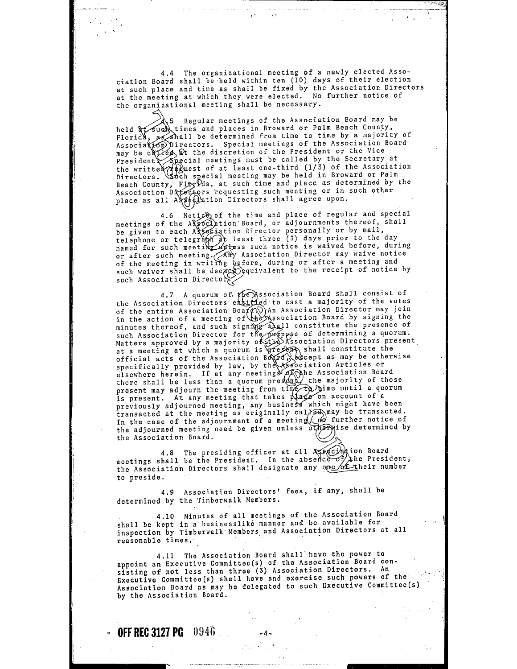4.4 The organizational meeting of a newly elected Association Board shall be held within ten (10) days of their election at such place and time as shall be fixed by the Association Directors at the meeting at which they were elected. No further notice of the organizational meeting shall be necessary.

held Florid  $\mathscr{A}$ ,5 Regular meetings of the Association Board may be times and places in Broward or Palm Beach County, all be determined from time to time by a majority of Associal OD Directors. Special meetings of the Association Board may be called  $\Omega$  the discretion of the President or the Vice ∴∴,u.e. in all called by the Secretary at the writter  $\mathcal{C}$  extends the least one-third (1/3) of the Association Directors. Such special meeting may be held in Broward or Palm President Special meetings must be called by the secretary at<br>the writter Appuest of at least one-third  $(1/3)$  of the Association<br>Birectors. Such special meeting may be held in Broward or Palm<br>Beach County, FloyYda, at s Association DATectors requesting such meeting or in such other place as all A to that is been accepted as a set of the place in the place is all agree upon.

4.6 Notice of the time and place of regular and special meetings of the A pociation Board, or adjournments thereof, shall meetings of the Association Board, or adjournments thereof, shall<br>be given to each Association Director personally or by mail,<br>telephone or telegraph at least three (3) days prior to the day<br>named for such meeting unless s of after such meeting. (Any Association silococcume) we eting and<br>of the meeting in writing before, during or after a meeting and such waiver shall be deemed equivalent to the receipt of notice by such Association Directors.

4.7 A quorum of *the* Association Board shall consist of 4.7 A quorum of *the* Association Board shall consist of of the entire Association Board () An Association Director may join<br>in the action of a meeting of the Association Board by signing the minutes thereof, and such sign  $\widetilde{N}_{12}$  and constitute the presence of such Association Director for the purpose of determining a quorum. Matters approved by a majority of the Association Directors present.<br>at a meeting at which a quorum is present, shall constitute the<br>official acts of the Association Board, except as may be otherwise specifically provided by law, by the Association Articles or elsewhere herein. If at any meeting  $\sqrt{\text{A}}$ he Association Board eisewhere herein. It at any meetings  $f(x)$  the majority of those<br>there shall be less than a quorum present, the majority of those<br>present may adjourn the meeting from time to buile a quorum present. At any meeting that takes place on account of a<br>is present. At any meeting, any business which might have been previously adjourned meeting, any business which might have been.<br>transacted at the meeting as originally cal/ $\beta$ ) may be transacted. In the case of the adjournment of a meeting  $(n\sigma)$  further notice of the adjourned meeting need be given unless otherwise determined by the Association Board.

4.8 The presiding officer at all  $\mathbb{A}_{\mathbb{Z}}$   $\mathbb{C}_{\mathbb{Z}}$   $\mathbb{C}_{\mathbb{Z}}$  at all  $\mathbb{A}_{\mathbb{Z}}$  subseted and meetings shall be the President. In the absence of the President,<br>the Association Directors shall designate any one of their number to preside.

4.9 Association Directors' fees, if any, shall be determined by the Timberwalk Members.

 $\mathcal{L} = \{ \mathcal{L}_1, \mathcal{L}_2, \ldots, \mathcal{L}_n \}$ 

4.10 Minutes of all meetings of the Association Board shall be kept in a businesslike manner and be available for inspection by Timberwalk·Members and Association Directors at all reasonable times,.

4,11 The Association Board shall have the power to appoint an Executive Committeo(s) of the Association Board con- sisting of not less than three (3) Association Directors, An Executive Committee(s) shall have and exercise such powers of the Association Board as may be delegated to such Executive Committee(s) by the Association Board.

**EXECUTE: OFF REC 3127 PG**  $\left(0.946\right)$   $\left(1.0001\right)$   $\left(1.44\right)$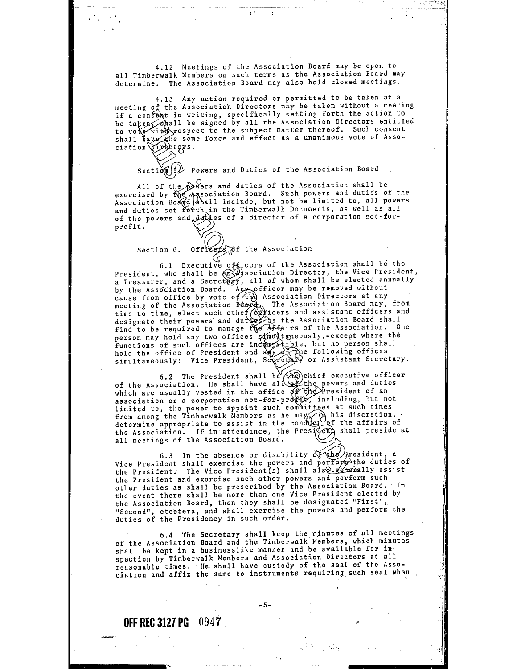4.12 Meetings of the Association Board may be open to all Timberwalk Members on such terms as the Association Board may determine. The Association Board may also hold closed meetings.

to VO shall 4.13 Any action required or permitted to be taken at a<br>f the Association Directors may be taken without a meeting the Association Directors may be taken without a meeting forth the action to be taken, shall be signed by all the Association Directors entitled espect to the subject matter thereof. Such consent force and effect as a unanimous vote of Asso-

Section  $\left(\{\}\right)$  Powers and Duties of the Association Board

All of the Dowers and duties of the Association shall be<br>exercised by the Association Board. Such powers and duties of the<br>Association Board Schall include, but not be limited to, all powers<br>and duties set forth in the Tim profit.

Section 6. Offreets of the Association

6.1 Executive of ficers of the Association shall be the President, who shall be  $\widehat{a}$ ,  $\widehat{a}$  sociation Director, the Vice President, a Treasurer, and a Secret  $\widehat{a}$ , all of whom shall be elected annually by the Association Board. Any officer may be removed without<br>cause from office by vote of ( $\widehat{H}$ ) Association Directors at any me Association business and all the Association Directors at any<br>meeting of the Association boxpet. The Association Board may, from<br>time to time, elect such other (officers and assistant officers and<br>designate their powers person may hold any two offices simultaneously, except where the functions of such offices are incompatible, but no person shall<br>hold the office of President and any of the following offices noid the office of Fresident and any of the forfollowing criters.

6.2 The President shall be  $(\overline{A} \mathbb{Q})$ chief executive officer of the Association. He shall have all  $\setminus$  the powers and duties of the usually vested in the office  $\widetilde{q}f$  The President of an association or a corporation not-for-profit, including, but not limited to, the power to appoint such committees at such times from among the Timberwalk Members as he may,  $\hat{D}$  his discretion,  $\det$  determine appropriate to assist in the conduct of the affairs of the Association. If in attendance, the Presidem Shall preside at all meetings of the Association Board.

6.3 In the absence or disability  $\delta \mathcal{F}$  (he gresident, a Vice President shall exercise the powers and perform the duties of the President. The Vice President(s) shall also emergally assist the President and exercise such other powers and perform such other duties as shall be prescribed by the Association Board. In the event there shall be more than one Vice President elected by the Association Board, then they shall be designated "First", "Second", etcetera, and shall exercise the powers and perform the duties of the Presidency in such order.

6,4 The Secretary shall keep the minutes of all meetings of the Association Board and the Timberwalk Members, which minutes shall be kept in a businesslike manner and be available for inspection by Timberwalk Members and Association Directors at all reasonable times, He shall have custody of tho seal of the Association and affix the same to instruments requiring such seal when

-5-

الموقف والمستقرئ والمر

**OFF REC 3127 PG 0947 1**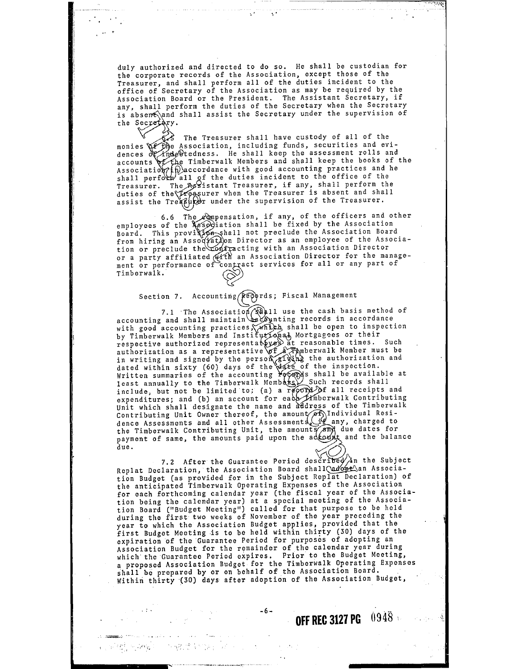duly authorized and directed to do so. He shall be custodian for the corporate records of the Association, except those of the Treasurer, and shall perform all of the duties incident to the office of Secretary of the Association as may be required by the Association Board or the President. The Assistant Secretary, if any, shall perform the duties of the Secretary when the Secretary is absem fand shall assist the Secretary under the supervision of the Secretary.

्राज्य सम्पू<u>र</u>्

 $6/3$  The Treasurer shall have custody of all of the Association, including funds, securities and evi- %1tedness. He shall keep the assessment rolls and e Timberwalk Members and shall keep the books of the  $A$ ssociation  $\mathcal{P}(f)$  accordance with good accounting practices and he shall perform all of the duties incident to the office of the Treasurer. The ASSistant Treasurer, if any, shall perform the duties of the *freesurer* when the Treasurer is absent and shall assist the  $Tre$   $\mathcal{L}$  $\mathcal{L}$  under the supervision of the Treasurer.

6.6 The pensation, if any, of the officers and other employees of the  $x \rightarrow 0$  iation shall be fixed by the Association Board. This provision shall not preclude the Association Board from hiring an Association Director as an employee of the Association or preclude the confracting with an Association Director<br>or a party affiliated with an Association Director for the manageor a party affiliated *(MATH* an Association bifector for the management or performance of contract services for all or any part of Timberwalk.

# Section 7. Accounting (Redords; Fiscal Management

7.1 The Association  $\mathbb{R}$  11 use the cash basis method of accounting and shall maintain recording records in accordance with good accounting practices, which shall be open to inspection by Timberwalk Members and Institutional Mortgagees or their by incorner in the representative at reasonable times. Such<br>authorization as a representative of a Tamberwalk Member must be<br>in writing and signed by the person giving the authorization and in writing and signed by the person signifying the authorization and<br>dated within sixty (60) days of the date of the inspection.<br>Written summaries of the accounting POGOOM's shall be available at<br>least annually to the Timb expenditures; and (b) an account for each *H*imberwalk Contributing Unit which shall designate the name and address of the Timberwalk Contributing Unit Owner thereof, the amount  $\widehat{\rho}$  Individual Residence Assessments and all other Assessments (if any, charged to the Timberwalk Contributing Unit, the amounts and due dates for payment of same, the amounts paid upon the account and the balance due.

7.2 After the Guarantee Period described in the Subject Replat Declaration, the Association Board shall adopt an Association Budget (as provided for in the Subject Replat Declaration) of the anticipated Timberwalk Operating Expenses of the Association for each forthcoming calendar year (the fiscal year of the Association being the calendar year) at a special meeting of the Association Board ("Budget Meeting") called for that purpose to be held during the first two weeks of November of the year preceding the year to which the Association Budget applies, provided that the first Budget Meeting is to be held within thirty (30) days of the expiration of the Guarantee Period for purposes of adopting an expiration of the Guarantee Period for purposes of adopting an which the Guarantee Period expires. Prior to the Budget Meeting, a proposed Association Budget for the Timberwalk Operating Expenses a proposed Association Budget for the Timberwalk Operating Expenses<br>shall be prepared by or on behalf of the Association Board. Within thirty (30) days after adoption of the Association Budget,

-6-

 $\mathcal{A}=\{x_1,\ldots,x_n\}$  .

 $\beta \rightarrow 3.3$   $\gamma$ 

 $\theta$  , and analyzes of  $\theta$  , we can be a set of the contribution of  $\theta$  , we have ( ) 网络精神病病的 人名英格兰人姓氏克里斯取自父名来源于 **OFF REC 3127 PG** 0948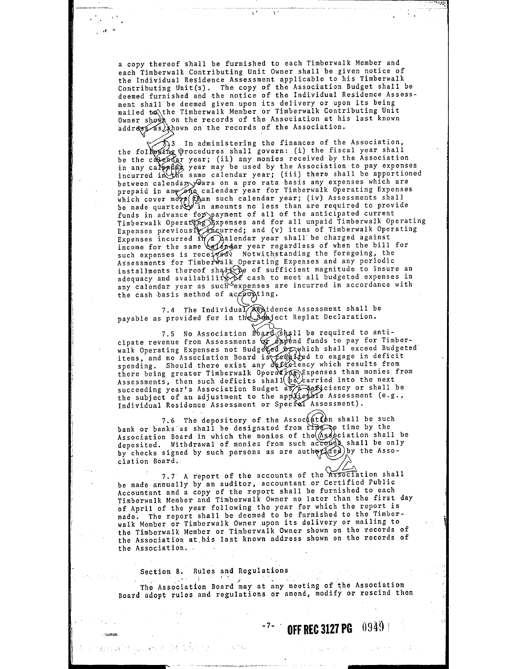a copy thereof shall be furnished to each Timberwalk Member and each Timberwalk Contributing Unit Owner shall be given notice of the Individual Residence Assessment applicable to his Timberwalk Contributing Unit(s). The copy of the Association Budget shall be deemed furnished and the notice of the Individual Residence Assessment shall be deemed given upon its delivery or upon its being<br>mailed to the Timberwalk Member or Timberwalk Contributing Unit mailed to the Timberwalk Member or Timberwalk Contributing Unit<br>Owner shown on the records of the Association at his last known hown on the records of the Association .

TV.  $\sim$   $\sim$ 

 $\mathbb{R}^{\mathbb{Z}}$ 

. 3 In administering the finances of the Association, The duministering the minister of the fiscal year shall be the calendar year; (ii) any monies received by the Association in any calor fight year may be used by the Association to pay expenses<br>incurred in the same calendar year; (iii) there shall be apportioned<br>between calendary Gars on a pro rata basis any expenses which are<br>prepaid in any o which cover more fiban such calendar year; (iv) Assessments shall be made quarter in amounts no less than are required to provide funds in advance for payment of all of the anticipated current Timberwalk Operatyng Bxpenses and for all unpaid Timberwalk Operating Expenses previously incurred; and (v) items of Timberwalk Operating Expenses incurred  $\mathcal{W}$  alendar year shall be charged against Expenses previously incurred; and (v) items of Timberwalk Operations.<br>Expenses incurred in a pair and (v) items of Timberwalk Operations.<br>Income for the same  $\bigoplus_{\text{ord}}$  on the bill for such expenses is received. Notwith such expenses is received. Notwithstanding the foregoing, the basessments for Timberwalk Operating Expenses and any periodic<br>installments thereof shatt be of sufficient magnitude to insure an<br>adequacy and availability of cash to meet all budgeted expenses in any calendar year as such expenses are incurred in accordance with the cash basis method of  $ac\sqrt{\theta}$  ting.

7.4 The Individual Residence Assessment shall be payable as provided for in the subside Replat Declaration.

7.5 No Association  $\mathbb{R}$   $\mathbb{R}$   $\mathbb{R}$  be required to anticipate revenue from Assessments  $\sigma$  apend funds to pay for Timberwalk Operating Expenses not Budge (ed or which shall exceed Budgeted air operating enperior need is required to engage in deficit spending. Should there exist any deficiency which results from spending. Should there exist any definiting which results from there soments, then such deficits shall (be carried into the next<br>succeeding year's Association Budget as a Aexiciency or shall be<br>the subject of an adjustment to the applicable Assessment (e.g., Individual Residence Assessment or Special Assessment).

7.6 The depository of the Assoc  $\#$ the shall be such bank or banks as shall be designated from time by the by the Association Board in which the monies of the (Association shall be deposited. Withdrawal of monies from such account shall be only by checks signed by such persons as are authori*ced* by the Asso-<br>ciation Board.

7.7 A report of the accounts of the Association shall be made annually by an auditor, accountant or Certified Public Accountant and a copy of the report shall be furnished to each Timberwalk Member and Timberwalk Owner no later than the first day of April of the year following the year for which the report is made. The report shall be deemed to be furnished to the Timberwalk Member or Timberwalk Owner upon its delivery or mailing to the Timberwalk Member or Timberwalk Owner shown on the records of the Association at.his last known address shown on the records of the Association ..

Section 8. Rules and Regulations

derivative contact in 1985 when the contact with

The Association Board may at any meeting of the Association Board adopt rules and regulations or amend, modify or rescind then

### $-7 - 0$  **OFF REC 3127 PG** 0949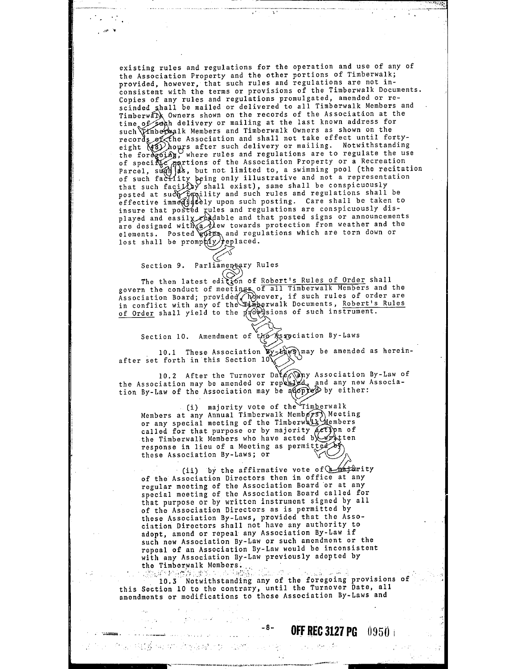existing rules and regulations for the operation and use of any of the Association Property and the other portions of Timberwalk; provided, however, that such rules and regulations are not inconsistent with the terms or provisions of the Timberwalk Documents. Copies of any rules and regulations promulgated, amended or re-<br>scinded shall be mailed or delivered to all Timberwalk Members and Timberwalk Owners shown on the records of the Association at the time of such delivery or mailing at the last known address for such Timbers and Timberwalk Owners as shown on the ds of the Association and shall not take effect until fortyno hosserveren and ender her mailing. Notwithstanding ous... (Constructions of the Associations are to regulate the use<br>of specific portions of the Association Property or a Recreation<br>Parcel, such as, but not limited to, a swimming pool (the recitation raitel, subject, but not fimited boy a summaring from contaction that such facility wing care reserve that we conspicuously posted at such facility and such rules and regulations shall be effective immediately upon such posting. Care shall be taken to insure that posted gules and regulations are conspicuously displayed and easily readable and that posted signs or announcements played and easily readable and that posted signs or announcements elements. Posted wifes and regulations which are torn down or lost shall be  $\text{prompt}(f(y))$ eplaced.

Section 9. Parliamentary Rules

.<br>The contract of the contract of the contract of the complete of the property of the contract of the contract of

The then latest edition of Robert's Rules of Order shall The then latest edition of Robert's Rules of Urder shall<br>govern the conduct of meetings of all Timberwalk Members and the govern the conduct of meeting of all limeothers heavens are in-<br>Association Board; provided Dowever, if such rules of order are<br>in conflict with any of the Eimberwalk Documents, Robert's Rules of Order shall yield to the provisions of such instrument.

Section 10. Amendment of the Association By-Laws

10.1 These Association  $\mathbf{y}$ - $H_{\mathbf{y}}$  and  $\mathbf{y}$  be amended as hereinafter set forth in this Section  $10^{\circ}$ 

10.2 After the Turnover Date  $\sqrt{p}$  Association By-Law of the Association may be amended or repealed, and any new Association By-Law of the Association may be a  $\phi$  by either:

(i) majority vote of the Timberwalk Members at any Annual Timberwalk Members) Meeting<br>or any special meeting of the Timberwalk Members called for that purpose or by majority *action* of<br>the Timberwalk Members who have acted b\\\printlen response in lieu of a Meeting as permitted by these Association By-Laws; or

these Association By-Laws; or  $(i)$  by the affirmative vote of  $(*$ ity of the Association Directors then in office at any regular meeting of the Association Board or at any special meeting of the Association Board called for that purpose or by written instrument signed by all of the Association Directors as is permitted by these Association By-Laws, provided that the Association Directors shall not have any authority to adopt, amend or repeal any Association By-Law if such new Association By-Law or such amendment or the repeal of an Association By-Law would be inconsistent with any Association By-Law previously adopted by the Timberwalk Members. the Timberwalk Members.<br>· ··· ( *...* , ... , ... , ... , ... , ...

 $10.3$  Notwithstanding any of the foregoing provisions of this Section 10 to the contrary, until the Turnover Date, all amendments or modifications to these Association By-Laws and

المواوي والمرادي والمواقع والمتعارفة

than 1941 ya mashin Atiya akin ta Mashin wa mashin wa wasan kasa

## -8- **OFF REC 3127 PG** 0950